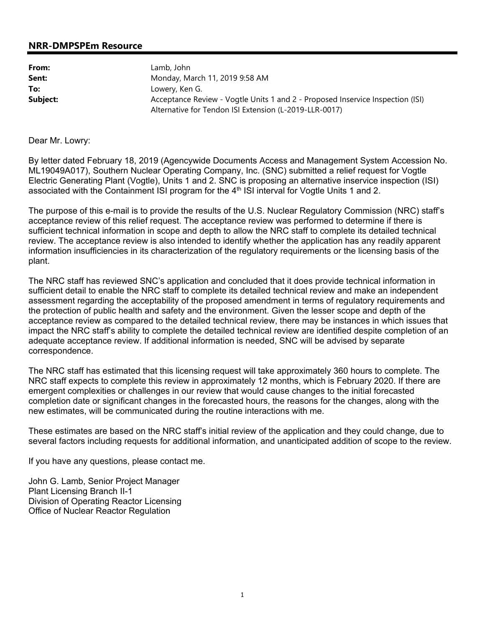## **NRR-DMPSPEm Resource**

| From:    | Lamb, John                                                                                                                               |
|----------|------------------------------------------------------------------------------------------------------------------------------------------|
| Sent:    | Monday, March 11, 2019 9:58 AM                                                                                                           |
| To:      | Lowery, Ken G.                                                                                                                           |
| Subject: | Acceptance Review - Vogtle Units 1 and 2 - Proposed Inservice Inspection (ISI)<br>Alternative for Tendon ISI Extension (L-2019-LLR-0017) |

Dear Mr. Lowry:

By letter dated February 18, 2019 (Agencywide Documents Access and Management System Accession No. ML19049A017), Southern Nuclear Operating Company, Inc. (SNC) submitted a relief request for Vogtle Electric Generating Plant (Vogtle), Units 1 and 2. SNC is proposing an alternative inservice inspection (ISI) associated with the Containment ISI program for the  $4<sup>th</sup>$  ISI interval for Vogtle Units 1 and 2.

The purpose of this e-mail is to provide the results of the U.S. Nuclear Regulatory Commission (NRC) staff's acceptance review of this relief request. The acceptance review was performed to determine if there is sufficient technical information in scope and depth to allow the NRC staff to complete its detailed technical review. The acceptance review is also intended to identify whether the application has any readily apparent information insufficiencies in its characterization of the regulatory requirements or the licensing basis of the plant.

The NRC staff has reviewed SNC's application and concluded that it does provide technical information in sufficient detail to enable the NRC staff to complete its detailed technical review and make an independent assessment regarding the acceptability of the proposed amendment in terms of regulatory requirements and the protection of public health and safety and the environment. Given the lesser scope and depth of the acceptance review as compared to the detailed technical review, there may be instances in which issues that impact the NRC staff's ability to complete the detailed technical review are identified despite completion of an adequate acceptance review. If additional information is needed, SNC will be advised by separate correspondence.

The NRC staff has estimated that this licensing request will take approximately 360 hours to complete. The NRC staff expects to complete this review in approximately 12 months, which is February 2020. If there are emergent complexities or challenges in our review that would cause changes to the initial forecasted completion date or significant changes in the forecasted hours, the reasons for the changes, along with the new estimates, will be communicated during the routine interactions with me.

These estimates are based on the NRC staff's initial review of the application and they could change, due to several factors including requests for additional information, and unanticipated addition of scope to the review.

If you have any questions, please contact me.

John G. Lamb, Senior Project Manager Plant Licensing Branch II-1 Division of Operating Reactor Licensing Office of Nuclear Reactor Regulation